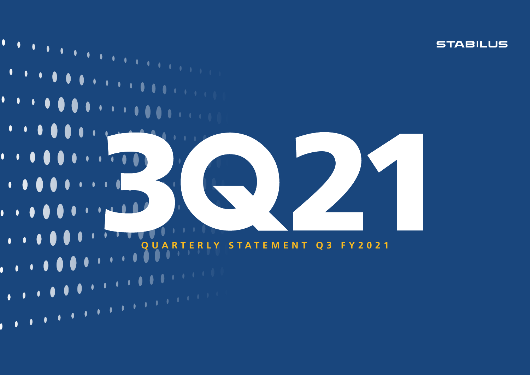$\bullet$  $\overline{\phantom{a}}$  $\bullet$  $\bullet$  $\mathcal{A}(\mathbf{0})$  $\bullet$  $\bullet$  $\bullet$  $\begin{array}{c} \bullet & \bullet & \bullet & \bullet \end{array}$  $\begin{array}{c} \bullet\hspace{-6pt}\bullet\hspace{-6pt}\bullet\hspace{-6pt}\bullet\hspace{-6pt}\bullet\end{array}$  $\begin{array}{ccccc}\bullet&\bullet&\bullet&\bullet\end{array}$  $\bullet\bullet\bullet$  $\bullet$   $\bullet$   $\bullet$  $\bullet$  $\bullet$   $\bullet$   $\bullet$  $\blacksquare$  $\blacksquare$  $\bullet$  $\bullet$  $\begin{array}{ccccccccc}\n\bullet & \bullet & \bullet & \bullet & \bullet & \end{array}$  $\mathbf{U}$  $\bullet$  $\blacksquare$  $\cdots$  $\bullet$ **A**  $\bullet$   $\bullet$   $\bullet$   $\bullet$  $\begin{array}{ccccc}\bullet&\bullet&\bullet\end{array}$ O **QUARTERLY STATEMENT Q3 FY2021** $\begin{array}{cc} \bullet & \bullet \end{array}$  $\bullet$ 

**STABILUS** 

 $\bullet$ 

١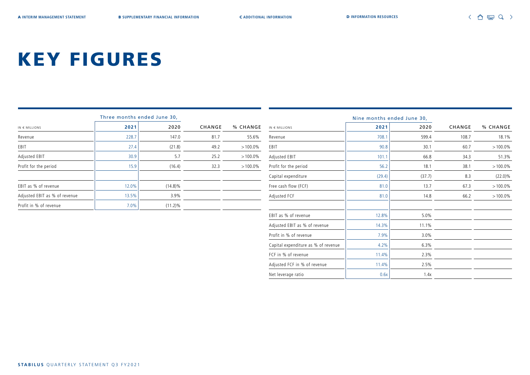Profit in % of revenue  $7.9\%$  3.0% Capital expenditure as % of revenue  $\vert$  4.2%  $\vert$  6.3% FCF in % of revenue 11.4% 2.3% Adjusted FCF in % of revenue 11.4% 11.4% 2.5% Net leverage ratio 1.4x

# KEY FIGURES

|                               | Three months ended June 30, |            |        |            |                               |        | Nine months ended June 30, |        |            |
|-------------------------------|-----------------------------|------------|--------|------------|-------------------------------|--------|----------------------------|--------|------------|
| $IN \in MILLIONS$             | 2021                        | 2020       | CHANGE | % CHANGE   | $IN \in MILLIONS$             | 2021   | 2020                       | CHANGE | % CHANGE   |
| Revenue                       | 228.7                       | 147.0      | 81.7   | 55.6%      | Revenue                       | 708.1  | 599.4                      | 108.7  | 18.1%      |
| EBIT                          | 27.4                        | (21.8)     | 49.2   | $>100.0\%$ | EBIT                          | 90.8   | 30.1                       | 60.7   | $>100.0\%$ |
| Adjusted EBIT                 | 30.9                        | 5.7        | 25.2   | $>100.0\%$ | Adjusted EBIT                 | 101.1  | 66.8                       | 34.3   | 51.3%      |
| Profit for the period         | 15.9                        | (16.4)     | 32.3   | $>100.0\%$ | Profit for the period         | 56.2   | 18.1                       | 38.1   | $>100.0\%$ |
|                               |                             |            |        |            | Capital expenditure           | (29.4) | (37.7)                     | 8.3    | $(22.0)\%$ |
| EBIT as % of revenue          | 12.0%                       | $(14.8)\%$ |        |            | Free cash flow (FCF)          | 81.0   | 13.7                       | 67.3   | $>100.0\%$ |
| Adjusted EBIT as % of revenue | 13.5%                       | 3.9%       |        |            | Adjusted FCF                  | 81.0   | 14.8                       | 66.2   | $>100.0\%$ |
| Profit in % of revenue        | 7.0%                        | $(11.2)\%$ |        |            |                               |        |                            |        |            |
|                               |                             |            |        |            | EBIT as % of revenue          | 12.8%  | $5.0\%$                    |        |            |
|                               |                             |            |        |            | Adjusted EBIT as % of revenue | 14.3%  | 11.1%                      |        |            |
|                               |                             |            |        |            |                               |        |                            |        |            |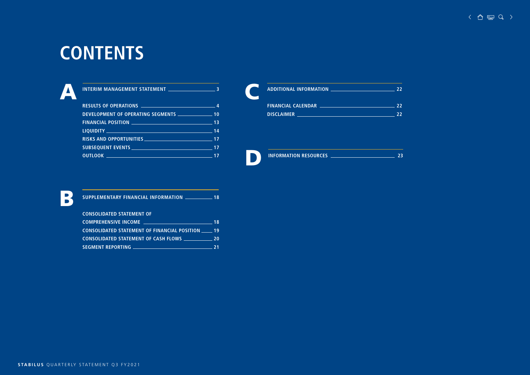# **CONTENTS**

| DEVELOPMENT OF OPERATING SEGMENTS ___________________ 10              |  |
|-----------------------------------------------------------------------|--|
| <b>FINANCIAL POSITION</b> 2008 2012 2022 2023 2024 213                |  |
|                                                                       |  |
| <b>RISKS AND OPPORTUNITIES</b> 2022 2022 2022 2022 217                |  |
| SUBSEQUENT EVENTS <b>And The Contract of the Contract of Table 17</b> |  |
|                                                                       |  |

| ADDITIONAL INFORMATION ________________________                              | つつ |
|------------------------------------------------------------------------------|----|
| <b>FINANCIAL CALENDAR Experimental CALENDAR</b>                              | つつ |
| <b>DISCLAIMER</b><br><u> 1989 - Jan Sterner Sterner van de Fryske kommer</u> | 22 |
|                                                                              |    |
|                                                                              |    |

D **INFORMATION RESOURCES <sup>23</sup>**



**SUPPLEMENTARY FINANCIAL INFORMATION 18** 

| <b>CONSOLIDATED STATEMENT OF</b>                |    |
|-------------------------------------------------|----|
|                                                 | 18 |
| CONSOLIDATED STATEMENT OF FINANCIAL POSITION 19 |    |
| <b>CONSOLIDATED STATEMENT OF CASH FLOWS</b>     | 20 |
| <b>SEGMENT REPORTING</b>                        | 21 |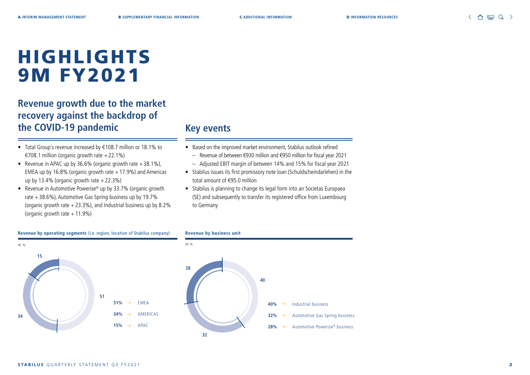**15**

**34**

# HIGHLIGHTS 9M FY2021

## **Revenue growth due to the market recovery against the backdrop of the COVID-19 pandemic**

- Total Group´s revenue increased by €108.7 million or 18.1% to €708.1 million (organic growth rate +22.1%)
- Revenue in APAC up by 36.6% (organic growth rate  $+38.1\%$ ), EMEA up by 16.8% (organic growth rate  $+17.9$ %) and Americas up by 13.4% (organic growth rate  $+22.3%$ )
- Revenue in Automotive Powerise® up by 33.7% (organic growth rate +38.6%), Automotive Gas Spring business up by 19.7% (organic growth rate  $+23.3\%$ ), and Industrial business up by 8.2% (organic growth rate  $+11.9\%$ )

### **Key events**

- Based on the improved market environment, Stabilus outlook refined
	- Revenue of between €930 million and €950 million for fiscal year 2021
	- Adjusted EBIT margin of between 14% and 15% for fiscal year 2021
- Stabilus issues its first promissory note loan (Schuldscheindarlehen) in the total amount of €95.0 million
- Stabilus is planning to change its legal form into an Societas Europaea (SE) and subsequently to transfer its registered office from Luxembourg to Germany

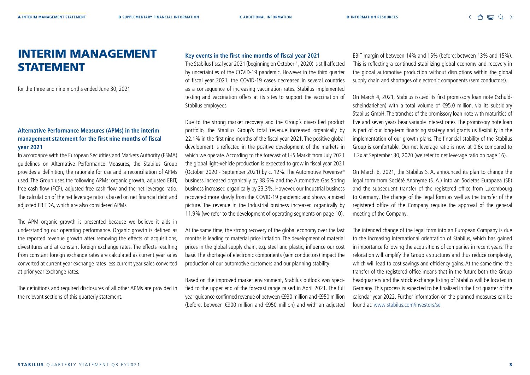## INTERIM MANAGEMENT STATEMENT

for the three and nine months ended June 30, 2021

#### **Alternative Performance Measures (APMs) in the interim management statement for the first nine months of fiscal year 2021**

In accordance with the European Securities and Markets Authority (ESMA) guidelines on Alternative Performance Measures, the Stabilus Group provides a definition, the rationale for use and a reconciliation of APMs used. The Group uses the following APMs: organic growth, adjusted EBIT, free cash flow (FCF), adjusted free cash flow and the net leverage ratio. The calculation of the net leverage ratio is based on net financial debt and adjusted EBITDA, which are also considered APMs.

The APM organic growth is presented because we believe it aids in understanding our operating performance. Organic growth is defined as the reported revenue growth after removing the effects of acquisitions, divestitures and at constant foreign exchange rates. The effects resulting from constant foreign exchange rates are calculated as current year sales converted at current year exchange rates less current year sales converted at prior year exchange rates.

The definitions and required disclosures of all other APMs are provided in the relevant sections of this quarterly statement.

#### **Key events in the first nine months of fiscal year 2021**

The Stabilus fiscal year 2021 (beginning on October 1, 2020) is still affected by uncertainties of the COVID-19 pandemic. However in the third quarter of fiscal year 2021, the COVID-19 cases decreased in several countries as a consequence of increasing vaccination rates. Stabilus implemented testing and vaccination offers at its sites to support the vaccination of Stabilus employees.

Due to the strong market recovery and the Group's diversified product portfolio, the Stabilus Group's total revenue increased organically by 22.1% in the first nine months of the fiscal year 2021. The positive global development is reflected in the positive development of the markets in which we operate. According to the forecast of IHS Markit from July 2021 the global light-vehicle production is expected to grow in fiscal year 2021 (October 2020 - September 2021) by c. 12%. The Automotive Powerise® business increased organically by 38.6% and the Automotive Gas Spring business increased organically by 23.3%. However, our Industrial business recovered more slowly from the COVID-19 pandemic and shows a mixed picture. The revenue in the Industrial business increased organically by 11.9% (we refer to the development of operating segments on page 10).

At the same time, the strong recovery of the global economy over the last months is leading to material price inflation. The development of material prices in the global supply chain, e.g. steel and plastic, influence our cost base. The shortage of electronic components (semiconductors) impact the production of our automotive customers and our planning stability.

Based on the improved market environment, Stabilus outlook was specified to the upper end of the forecast range raised in April 2021. The full year guidance confirmed revenue of between €930 million and €950 million (before: between €900 million and €950 million) and with an adjusted EBIT margin of between 14% and 15% (before: between 13% and 15%). This is reflecting a continued stabilizing global economy and recovery in the global automotive production without disruptions within the global supply chain and shortages of electronic components (semiconductors).

On March 4, 2021, Stabilus issued its first promissory loan note (Schuldscheindarlehen) with a total volume of €95.0 million, via its subsidiary Stabilus GmbH. The tranches of the promissory loan note with maturities of five and seven years bear variable interest rates. The promissory note loan is part of our long-term financing strategy and grants us flexibility in the implementation of our growth plans. The financial stability of the Stabilus Group is comfortable. Our net leverage ratio is now at 0.6x compared to 1.2x at September 30, 2020 (we refer to net leverage ratio on page 16).

On March 8, 2021, the Stabilus S. A. announced its plan to change the legal form from Société Anonyme (S. A.) into an Societas Europaea (SE) and the subsequent transfer of the registered office from Luxembourg to Germany. The change of the legal form as well as the transfer of the registered office of the Company require the approval of the general meeting of the Company.

The intended change of the legal form into an European Company is due to the increasing international orientation of Stabilus, which has gained in importance following the acquisitions of companies in recent years. The relocation will simplify the Group's structures and thus reduce complexity, which will lead to cost savings and efficiency gains. At the same time, the transfer of the registered office means that in the future both the Group headquarters and the stock exchange listing of Stabilus will be located in Germany. This process is expected to be finalized in the first quarter of the calendar year 2022. Further information on the planned measures can be found at: www.stabilus.com/investors/se.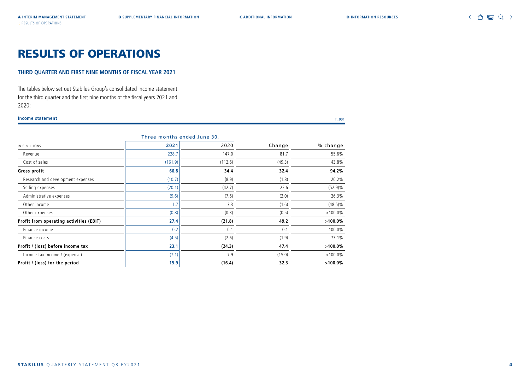## RESULTS OF OPERATIONS

#### **THIRD QUARTER AND FIRST NINE MONTHS OF FISCAL YEAR 2021**

The tables below set out Stabilus Group's consolidated income statement for the third quarter and the first nine months of the fiscal years 2021 and 2020:

#### **Income statement** T\_001

|                                         | <u>THES INDITIONS SHUSU JUNE 50,</u> |         |        |            |
|-----------------------------------------|--------------------------------------|---------|--------|------------|
| $IN \in MILLIONS$                       | 2021                                 | 2020    | Change | % change   |
| Revenue                                 | 228.7                                | 147.0   | 81.7   | 55.6%      |
| Cost of sales                           | (161.9)                              | (112.6) | (49.3) | 43.8%      |
| Gross profit                            | 66.8                                 | 34.4    | 32.4   | 94.2%      |
| Research and development expenses       | (10.7)                               | (8.9)   | (1.8)  | 20.2%      |
| Selling expenses                        | (20.1)                               | (42.7)  | 22.6   | $(52.9)\%$ |
| Administrative expenses                 | (9.6)                                | (7.6)   | (2.0)  | 26.3%      |
| Other income                            | 1.7                                  | 3.3     | (1.6)  | $(48.5)\%$ |
| Other expenses                          | (0.8)                                | (0.3)   | (0.5)  | $>100.0\%$ |
| Profit from operating activities (EBIT) | 27.4                                 | (21.8)  | 49.2   | $>100.0\%$ |
| Finance income                          | 0.2                                  | 0.1     | 0.1    | 100.0%     |
| Finance costs                           | (4.5)                                | (2.6)   | (1.9)  | 73.1%      |
| Profit / (loss) before income tax       | 23.1                                 | (24.3)  | 47.4   | $>100.0\%$ |
| Income tax income / (expense)           | (7.1)                                | 7.9     | (15.0) | $>100.0\%$ |
| Profit / (loss) for the period          | 15.9                                 | (16.4)  | 32.3   | $>100.0\%$ |
|                                         |                                      |         |        |            |

#### Three months ended June 30,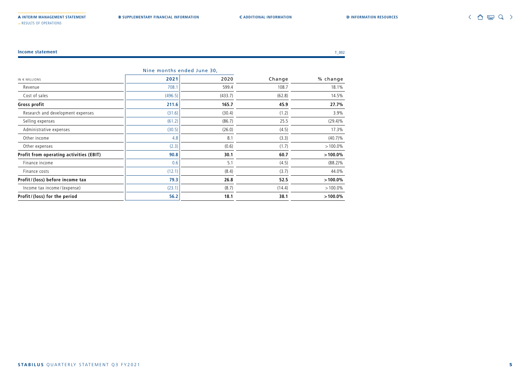→ RESULTS OF OPERATIONS

|                                         |         | Nine months ended June 30, |        |            |
|-----------------------------------------|---------|----------------------------|--------|------------|
| $IN \in MILLIONS$                       | 2021    | 2020                       | Change | % change   |
| Revenue                                 | 708.1   | 599.4                      | 108.7  | 18.1%      |
| Cost of sales                           | (496.5) | (433.7)                    | (62.8) | 14.5%      |
| Gross profit                            | 211.6   | 165.7                      | 45.9   | 27.7%      |
| Research and development expenses       | (31.6)  | (30.4)                     | (1.2)  | 3.9%       |
| Selling expenses                        | (61.2)  | (86.7)                     | 25.5   | $(29.4)\%$ |
| Administrative expenses                 | (30.5)  | (26.0)                     | (4.5)  | 17.3%      |
| Other income                            | 4.8     | 8.1                        | (3.3)  | $(40.7)\%$ |
| Other expenses                          | (2.3)   | (0.6)                      | (1.7)  | $>100.0\%$ |
| Profit from operating activities (EBIT) | 90.8    | 30.1                       | 60.7   | $>100.0\%$ |
| Finance income                          | 0.6     | 5.1                        | (4.5)  | $(88.2)\%$ |
| Finance costs                           | (12.1)  | (8.4)                      | (3.7)  | 44.0%      |
| Profit/(loss) before income tax         | 79.3    | 26.8                       | 52.5   | $>100.0\%$ |
| Income tax income / (expense)           | (23.1)  | (8.7)                      | (14.4) | $>100.0\%$ |
| Profit/(loss) for the period            | 56.2    | 18.1                       | 38.1   | $>100.0\%$ |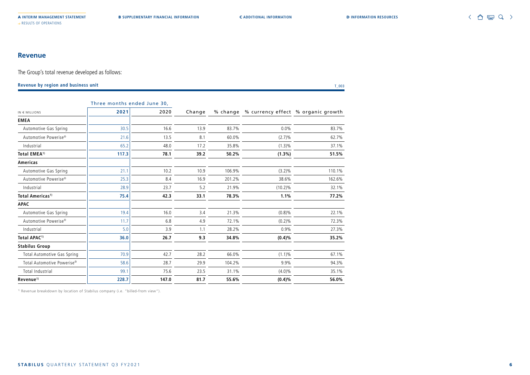#### **Revenue**

The Group's total revenue developed as follows:

**Revenue by region and business unit** T\_003

|                                        | Three months ended June 30, |       |        |        |            |                                             |
|----------------------------------------|-----------------------------|-------|--------|--------|------------|---------------------------------------------|
| IN $\in$ MILLIONS                      | 2021                        | 2020  | Change |        |            | % change % currency effect % organic growth |
| <b>EMEA</b>                            |                             |       |        |        |            |                                             |
| Automotive Gas Spring                  | 30.5                        | 16.6  | 13.9   | 83.7%  | 0.0%       | 83.7%                                       |
| Automotive Powerise <sup>®</sup>       | 21.6                        | 13.5  | 8.1    | 60.0%  | (2.7)%     | 62.7%                                       |
| Industrial                             | 65.2                        | 48.0  | 17.2   | 35.8%  | $(1.3)\%$  | 37.1%                                       |
| Total EMEA <sup>1)</sup>               | 117.3                       | 78.1  | 39.2   | 50.2%  | $(1.3\%)$  | 51.5%                                       |
| Americas                               |                             |       |        |        |            |                                             |
| Automotive Gas Spring                  | 21.1                        | 10.2  | 10.9   | 106.9% | $(3.2)\%$  | 110.1%                                      |
| Automotive Powerise <sup>®</sup>       | 25.3                        | 8.4   | 16.9   | 201.2% | 38.6%      | 162.6%                                      |
| Industrial                             | 28.9                        | 23.7  | 5.2    | 21.9%  | $(10.2)\%$ | 32.1%                                       |
| Total Americas <sup>1)</sup>           | 75.4                        | 42.3  | 33.1   | 78.3%  | 1.1%       | 77.2%                                       |
| <b>APAC</b>                            |                             |       |        |        |            |                                             |
| Automotive Gas Spring                  | 19.4                        | 16.0  | 3.4    | 21.3%  | $(0.8)\%$  | 22.1%                                       |
| Automotive Powerise <sup>®</sup>       | 11.7                        | 6.8   | 4.9    | 72.1%  | $(0.2)\%$  | 72.3%                                       |
| Industrial                             | 5.0                         | 3.9   | 1.1    | 28.2%  | 0.9%       | 27.3%                                       |
| Total APAC <sup>1)</sup>               | 36.0                        | 26.7  | 9.3    | 34.8%  | $(0.4)\%$  | 35.2%                                       |
| <b>Stabilus Group</b>                  |                             |       |        |        |            |                                             |
| Total Automotive Gas Spring            | 70.9                        | 42.7  | 28.2   | 66.0%  | $(1.1)\%$  | 67.1%                                       |
| Total Automotive Powerise <sup>®</sup> | 58.6                        | 28.7  | 29.9   | 104.2% | 9.9%       | 94.3%                                       |
| Total Industrial                       | 99.1                        | 75.6  | 23.5   | 31.1%  | $(4.0)\%$  | 35.1%                                       |
| Revenue <sup>1)</sup>                  | 228.7                       | 147.0 | 81.7   | 55.6%  | $(0.4)\%$  | 56.0%                                       |

<sup>1)</sup> Revenue breakdown by location of Stabilus company (i.e. "billed-from view").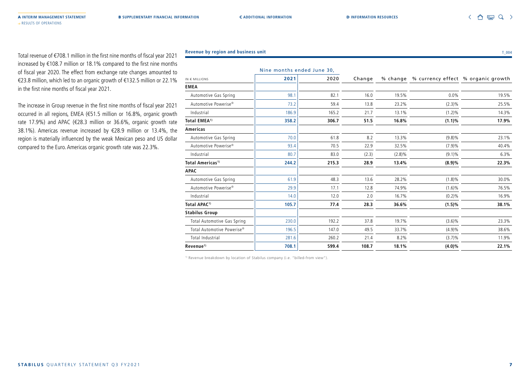△ 冒 Q >

Total revenue of €708.1 million in the first nine months of fiscal year 2021 increased by €108.7 million or 18.1% compared to the first nine months of fiscal year 2020. The effect from exchange rate changes amounted to €23.8 million, which led to an organic growth of €132.5 million or 22.1% in the first nine months of fiscal year 2021.

→ RESULTS OF OPERATIONS

The increase in Group revenue in the first nine months of fiscal year 2021 occurred in all regions, EMEA (€51.5 million or 16.8%, organic growth rate 17.9%) and APAC (€28.3 million or 36.6%, organic growth rate 38.1%). Americas revenue increased by €28.9 million or 13.4%, the region is materially influenced by the weak Mexican peso and US dollar compared to the Euro. Americas organic growth rate was 22.3%.

| <b>Revenue by region and business unit</b> | $^{\circ}$ 004 |
|--------------------------------------------|----------------|
|                                            |                |

|                                  | Nine months ended June 30, |       |        |           |                                             |       |
|----------------------------------|----------------------------|-------|--------|-----------|---------------------------------------------|-------|
| $IN \in MILLIONS$                | 2021                       | 2020  | Change |           | % change % currency effect % organic growth |       |
| <b>EMEA</b>                      |                            |       |        |           |                                             |       |
| Automotive Gas Spring            | 98.1                       | 82.1  | 16.0   | 19.5%     | 0.0%                                        | 19.5% |
| Automotive Powerise <sup>®</sup> | 73.2                       | 59.4  | 13.8   | 23.2%     | $(2.3)\%$                                   | 25.5% |
| Industrial                       | 186.9                      | 165.2 | 21.7   | 13.1%     | $(1.2)\%$                                   | 14.3% |
| Total EMEA <sup>1)</sup>         | 358.2                      | 306.7 | 51.5   | 16.8%     | $(1.1)\%$                                   | 17.9% |
| <b>Americas</b>                  |                            |       |        |           |                                             |       |
| Automotive Gas Spring            | 70.0                       | 61.8  | 8.2    | 13.3%     | $(9.8)\%$                                   | 23.1% |
| Automotive Powerise <sup>®</sup> | 93.4                       | 70.5  | 22.9   | 32.5%     | (7.9)%                                      | 40.4% |
| Industrial                       | 80.7                       | 83.0  | (2.3)  | $(2.8)\%$ | $(9.1)\%$                                   | 6.3%  |
| Total Americas <sup>1)</sup>     | 244.2                      | 215.3 | 28.9   | 13.4%     | (8.9)%                                      | 22.3% |
| <b>APAC</b>                      |                            |       |        |           |                                             |       |
| Automotive Gas Spring            | 61.9                       | 48.3  | 13.6   | 28.2%     | $(1.8)\%$                                   | 30.0% |
| Automotive Powerise <sup>®</sup> | 29.9                       | 17.1  | 12.8   | 74.9%     | $(1.6)\%$                                   | 76.5% |
| Industrial                       | 14.0                       | 12.0  | 2.0    | 16.7%     | (0.2)%                                      | 16.9% |
| Total APAC <sup>1)</sup>         | 105.7                      | 77.4  | 28.3   | 36.6%     | $(1.5)\%$                                   | 38.1% |
| <b>Stabilus Group</b>            |                            |       |        |           |                                             |       |
| Total Automotive Gas Spring      | 230.0                      | 192.2 | 37.8   | 19.7%     | $(3.6)\%$                                   | 23.3% |
| Total Automotive Powerise®       | 196.5                      | 147.0 | 49.5   | 33.7%     | (4.9)%                                      | 38.6% |
| Total Industrial                 | 281.6                      | 260.2 | 21.4   | 8.2%      | (3.7)%                                      | 11.9% |
| Revenue <sup>1)</sup>            | 708.1                      | 599.4 | 108.7  | 18.1%     | $(4.0)\%$                                   | 22.1% |

1) Revenue breakdown by location of Stabilus company (i.e. "billed-from view").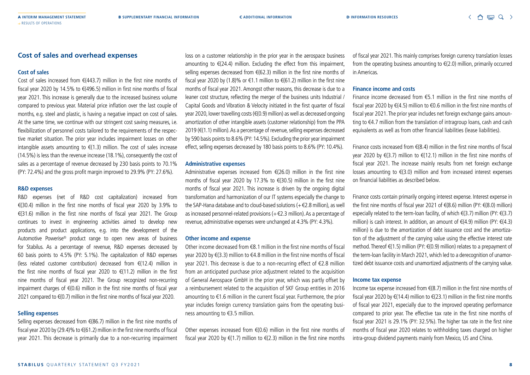#### **Cost of sales and overhead expenses**

#### **Cost of sales**

Cost of sales increased from €(443.7) million in the first nine months of fiscal year 2020 by 14.5% to  $\epsilon$ (496.5) million in first nine months of fiscal year 2021. This increase is generally due to the increased business volume compared to previous year. Material price inflation over the last couple of months, e.g. steel and plastic, is having a negative impact on cost of sales. At the same time, we continue with our stringent cost saving measures, i.e. flexibilization of personnel costs tailored to the requirements of the respective market situation. The prior year includes impairment losses on other intangible assets amounting to  $\epsilon$ (1.3) million. The cost of sales increase (14.5%) is less than the revenue increase (18.1%), consequently the cost of sales as a percentage of revenue decreased by 230 basis points to 70.1% (PY: 72.4%) and the gross profit margin improved to 29.9% (PY: 27.6%).

#### **R&D expenses**

R&D expenses (net of R&D cost capitalization) increased from €(30.4) million in the first nine months of fiscal year 2020 by 3.9% to €(31.6) million in the first nine months of fiscal year 2021. The Group continues to invest in engineering activities aimed to develop new products and product applications, e.g. into the development of the Automotive Powerise® product range to open new areas of business for Stabilus. As a percentage of revenue, R&D expenses decreased by 60 basis points to 4.5% (PY: 5.1%). The capitalization of R&D expenses (less related customer contribution) decreased from €(12.4) million in the first nine months of fiscal year 2020 to  $\epsilon$ (11.2) million in the first nine months of fiscal year 2021. The Group recognized non-recurring impairment charges of  $\epsilon$ (0.6) million in the first nine months of fiscal year 2021 compared to €(0.7) million in the first nine months of fiscal year 2020.

#### **Selling expenses**

Selling expenses decreased from €(86.7) million in the first nine months of fiscal year 2020 by (29.4)% to €(61.2) million in the first nine months of fiscal year 2021. This decrease is primarily due to a non-recurring impairment

loss on a customer relationship in the prior year in the aerospace business amounting to  $\epsilon$ (24.4) million. Excluding the effect from this impairment, selling expenses decreased from €(62.3) million in the first nine months of fiscal year 2020 by (1.8)% or €1.1 million to €(61.2) million in the first nine months of fiscal year 2021. Amongst other reasons, this decrease is due to a leaner cost structure, reflecting the merger of the business units Industrial / Capital Goods and Vibration & Velocity initiated in the first quarter of fiscal year 2020, lower travelling costs (€(0.9) million) as well as decreased ongoing amortization of other intangible assets (customer relationship) from the PPA 2019 (€(1.1) million). As a percentage of revenue, selling expenses decreased by 590 basis points to 8.6% (PY: 14.5%). Excluding the prior year impairment effect, selling expenses decreased by 180 basis points to 8.6% (PY: 10.4%).

#### **Administrative expenses**

Administrative expenses increased from  $E(26.0)$  million in the first nine months of fiscal year 2020 by 17.3% to €(30.5) million in the first nine months of fiscal year 2021. This increase is driven by the ongoing digital transformation and harmonization of our IT systems especially the change to the SAP-Hana database and to cloud-based solutions (+€2.8 million), as well as increased personnel-related provisions (+€2.3 million). As a percentage of revenue, administrative expenses were unchanged at 4.3% (PY: 4.3%).

#### **Other income and expense**

Other income decreased from €8.1 million in the first nine months of fiscal year 2020 by €(3.3) million to €4.8 million in the first nine months of fiscal year 2021. This decrease is due to a non-recurring effect of €2.8 million from an anticipated purchase price adjustment related to the acquisition of General Aerospace GmbH in the prior year, which was partly offset by a reimbursement related to the acquisition of SKF Group entities in 2016 amounting to €1.6 million in the current fiscal year. Furthermore, the prior year includes foreign currency translation gains from the operating business amounting to €3.5 million.

Other expenses increased from  $E(0.6)$  million in the first nine months of fiscal year 2020 by  $\epsilon$ (1.7) million to  $\epsilon$ (2.3) million in the first nine months

of fiscal year 2021. This mainly comprises foreign currency translation losses from the operating business amounting to  $E(2.0)$  million, primarily occurred in Americas.

#### **Finance income and costs**

Finance income decreased from €5.1 million in the first nine months of fiscal year 2020 by €(4.5) million to €0.6 million in the first nine months of fiscal year 2021. The prior year includes net foreign exchange gains amounting to €4.7 million from the translation of intragroup loans, cash and cash equivalents as well as from other financial liabilities (lease liabilities).

Finance costs increased from  $\epsilon$ (8.4) million in the first nine months of fiscal year 2020 by €(3.7) million to €(12.1) million in the first nine months of fiscal year 2021. The increase mainly results from net foreign exchange losses amounting to  $\epsilon$ (3.0) million and from increased interest expenses on financial liabilities as described below.

Finance costs contain primarily ongoing interest expense. Interest expense in the first nine months of fiscal year 2021 of €(8.6) million (PY: €(8.0) million) especially related to the term-loan facility, of which €(3.7) million (PY: €(3.7) million) is cash interest. In addition, an amount of €(4.9) million (PY: €(4.3) million) is due to the amortization of debt issuance cost and the amortization of the adjustment of the carrying value using the effective interest rate method. Thereof €(1.5) million (PY: €(0.9) million) relates to a prepayment of the term-loan facility in March 2021, which led to a derecognition of unamortized debt issuance costs and unamortized adjustments of the carrying value.

#### **Income tax expense**

Income tax expense increased from  $E(8.7)$  million in the first nine months of fiscal year 2020 by  $\in$ (14.4) million to  $\in$ (23.1) million in the first nine months of fiscal year 2021, especially due to the improved operating performance compared to prior year. The effective tax rate in the first nine months of fiscal year 2021 is 29.1% (PY: 32.5%). The higher tax rate in the first nine months of fiscal year 2020 relates to withholding taxes charged on higher intra-group dividend payments mainly from Mexico, US and China.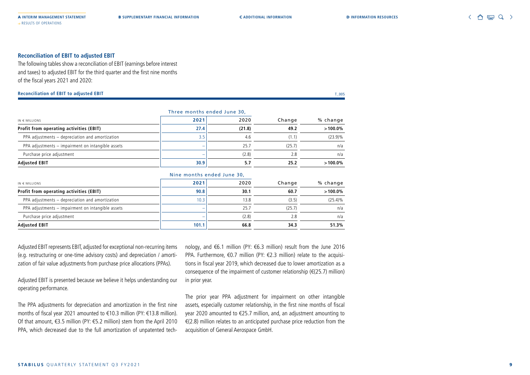#### **Reconciliation of EBIT to adjusted EBIT**

The following tables show a reconciliation of EBIT (earnings before interest and taxes) to adjusted EBIT for the third quarter and the first nine months of the fiscal years 2021 and 2020:

#### **Reconciliation of EBIT to adjusted EBIT** T\_005

|                                                   | Three months ended June 30, |        |        |            |
|---------------------------------------------------|-----------------------------|--------|--------|------------|
| $N \in MILLIONS$                                  | 2021                        | 2020   | Change | % change   |
| Profit from operating activities (EBIT)           | 27.4                        | (21.8) | 49.2   | $>100.0\%$ |
| PPA adjustments - depreciation and amortization   | 3.5                         | 4.6    | (1.1)  | $(23.9)\%$ |
| PPA adjustments - impairment on intangible assets |                             | 25.7   | (25.7) | n/a        |
| Purchase price adjustment                         | $\overline{\phantom{a}}$    | (2.8)  | 2.8    | n/a        |
| Adjusted EBIT                                     | 30.9                        | 5.7    | 25.2   | $>100.0\%$ |

|                                                   | Nine months ended June 30, |       |        | % change   |
|---------------------------------------------------|----------------------------|-------|--------|------------|
| $IN \in MILLIONS$                                 | 2021                       | 2020  | Change |            |
| Profit from operating activities (EBIT)           | 90.8                       | 30.1  | 60.7   | $>100.0\%$ |
| PPA adjustments - depreciation and amortization   | 10.3                       | 13.8  | (3.5)  | $(25.4)\%$ |
| PPA adjustments - impairment on intangible assets |                            | 25.7  | (25.7) | n/a        |
| Purchase price adjustment                         |                            | (2.8) | 2.8    | n/a        |
| <b>Adjusted EBIT</b>                              | 101.1                      | 66.8  | 34.3   | 51.3%      |

Adjusted EBIT represents EBIT, adjusted for exceptional non-recurring items (e.g. restructuring or one-time advisory costs) and depreciation / amortization of fair value adjustments from purchase price allocations (PPAs).

Adjusted EBIT is presented because we believe it helps understanding our operating performance.

The PPA adjustments for depreciation and amortization in the first nine months of fiscal year 2021 amounted to €10.3 million (PY: €13.8 million). Of that amount, €3.5 million (PY: €5.2 million) stem from the April 2010 PPA, which decreased due to the full amortization of unpatented tech-

nology, and €6.1 million (PY: €6.3 million) result from the June 2016 PPA. Furthermore, €0.7 million (PY: €2.3 million) relate to the acquisitions in fiscal year 2019, which decreased due to lower amortization as a consequence of the impairment of customer relationship ( $\in$ (25.7) million) in prior year.

The prior year PPA adjustment for impairment on other intangible assets, especially customer relationship, in the first nine months of fiscal year 2020 amounted to €25.7 million, and, an adjustment amounting to €(2.8) million relates to an anticipated purchase price reduction from the acquisition of General Aerospace GmbH.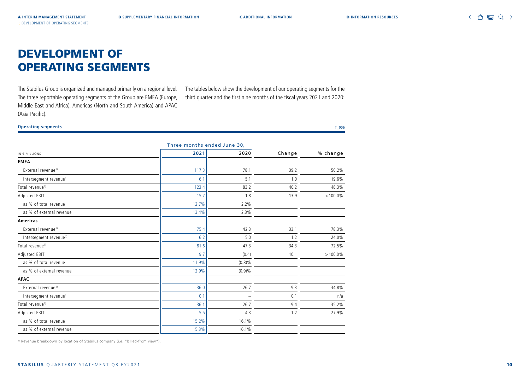## DEVELOPMENT OF OPERATING SEGMENTS

The Stabilus Group is organized and managed primarily on a regional level. The three reportable operating segments of the Group are EMEA (Europe, Middle East and Africa), Americas (North and South America) and APAC (Asia Pacific).

The tables below show the development of our operating segments for the third quarter and the first nine months of the fiscal years 2021 and 2020:

#### **Operating segments** T\_006

|                                    |       | Three months ended June 30, |        |            |
|------------------------------------|-------|-----------------------------|--------|------------|
| $IN \in MILLIONS$                  | 2021  | 2020                        | Change | % change   |
| <b>EMEA</b>                        |       |                             |        |            |
| External revenue <sup>1)</sup>     | 117.3 | 78.1                        | 39.2   | 50.2%      |
| Intersegment revenue <sup>1)</sup> | 6.1   | 5.1                         | 1.0    | 19.6%      |
| Total revenue <sup>1)</sup>        | 123.4 | 83.2                        | 40.2   | 48.3%      |
| Adjusted EBIT                      | 15.7  | 1.8                         | 13.9   | $>100.0\%$ |
| as % of total revenue              | 12.7% | 2.2%                        |        |            |
| as % of external revenue           | 13.4% | 2.3%                        |        |            |
| <b>Americas</b>                    |       |                             |        |            |
| External revenue <sup>1)</sup>     | 75.4  | 42.3                        | 33.1   | 78.3%      |
| Intersegment revenue <sup>1)</sup> | 6.2   | 5.0                         | 1.2    | 24.0%      |
| Total revenue <sup>1)</sup>        | 81.6  | 47.3                        | 34.3   | 72.5%      |
| Adjusted EBIT                      | 9.7   | (0.4)                       | 10.1   | $>100.0\%$ |
| as % of total revenue              | 11.9% | $(0.8)\%$                   |        |            |
| as % of external revenue           | 12.9% | (0.9)%                      |        |            |
| <b>APAC</b>                        |       |                             |        |            |
| External revenue <sup>1)</sup>     | 36.0  | 26.7                        | 9.3    | 34.8%      |
| Intersegment revenue <sup>1)</sup> | 0.1   |                             | 0.1    | n/a        |
| Total revenue <sup>1)</sup>        | 36.1  | 26.7                        | 9.4    | 35.2%      |
| Adjusted EBIT                      | 5.5   | 4.3                         | 1.2    | 27.9%      |
| as % of total revenue              | 15.2% | 16.1%                       |        |            |
| as % of external revenue           | 15.3% | 16.1%                       |        |            |

<sup>1)</sup> Revenue breakdown by location of Stabilus company (i.e. "billed-from view").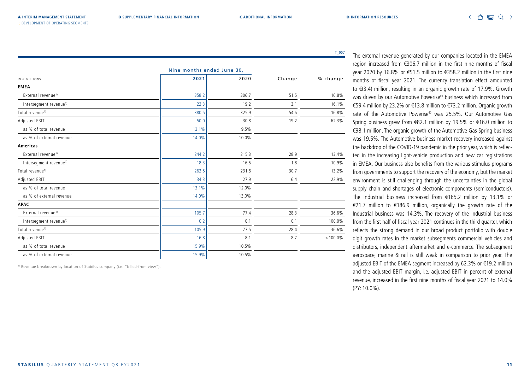T\_007

|                                    |       | Nine months ended June 30, |        |            |
|------------------------------------|-------|----------------------------|--------|------------|
| $IN \in MILLIONS$                  | 2021  | 2020                       | Change | % change   |
| <b>EMEA</b>                        |       |                            |        |            |
| External revenue <sup>1)</sup>     | 358.2 | 306.7                      | 51.5   | 16.8%      |
| Intersegment revenue <sup>1)</sup> | 22.3  | 19.2                       | 3.1    | 16.1%      |
| Total revenue <sup>1)</sup>        | 380.5 | 325.9                      | 54.6   | 16.8%      |
| Adjusted EBIT                      | 50.0  | 30.8                       | 19.2   | 62.3%      |
| as % of total revenue              | 13.1% | 9.5%                       |        |            |
| as % of external revenue           | 14.0% | 10.0%                      |        |            |
| Americas                           |       |                            |        |            |
| External revenue <sup>1)</sup>     | 244.2 | 215.3                      | 28.9   | 13.4%      |
| Intersegment revenue <sup>1)</sup> | 18.3  | 16.5                       | 1.8    | 10.9%      |
| Total revenue <sup>1)</sup>        | 262.5 | 231.8                      | 30.7   | 13.2%      |
| Adjusted EBIT                      | 34.3  | 27.9                       | 6.4    | 22.9%      |
| as % of total revenue              | 13.1% | 12.0%                      |        |            |
| as % of external revenue           | 14.0% | 13.0%                      |        |            |
| <b>APAC</b>                        |       |                            |        |            |
| External revenue <sup>1)</sup>     | 105.7 | 77.4                       | 28.3   | 36.6%      |
| Intersegment revenue <sup>1)</sup> | 0.2   | 0.1                        | 0.1    | 100.0%     |
| Total revenue <sup>1)</sup>        | 105.9 | 77.5                       | 28.4   | 36.6%      |
| Adjusted EBIT                      | 16.8  | 8.1                        | 8.7    | $>100.0\%$ |
| as % of total revenue              | 15.9% | 10.5%                      |        |            |
| as % of external revenue           | 15.9% | 10.5%                      |        |            |

1) Revenue breakdown by location of Stabilus company (i.e. "billed-from view").

→ DEVELOPMENT OF OPERATING SEGMENTS

The external revenue generated by our companies located in the EMEA region increased from €306.7 million in the first nine months of fiscal year 2020 by 16.8% or €51.5 million to €358.2 million in the first nine months of fiscal year 2021. The currency translation effect amounted to €(3.4) million, resulting in an organic growth rate of 17.9%. Growth was driven by our Automotive Powerise® business which increased from €59.4 million by 23.2% or €13.8 million to €73.2 million. Organic growth rate of the Automotive Powerise® was 25.5%. Our Automotive Gas Spring business grew from €82.1 million by 19.5% or €16.0 million to €98.1 million. The organic growth of the Automotive Gas Spring business was 19.5%. The Automotive business market recovery increased against the backdrop of the COVID-19 pandemic in the prior year, which is reflected in the increasing light-vehicle production and new car registrations in EMEA. Our business also benefits from the various stimulus programs from governments to support the recovery of the economy, but the market environment is still challenging through the uncertainties in the global supply chain and shortages of electronic components (semiconductors). The Industrial business increased from €165.2 million by 13.1% or €21.7 million to €186.9 million, organically the growth rate of the Industrial business was 14.3%. The recovery of the Industrial business from the first half of fiscal year 2021 continues in the third quarter, which reflects the strong demand in our broad product portfolio with double digit growth rates in the market subsegments commercial vehicles and distributors, independent aftermarket and e-commerce. The subsegment aerospace, marine & rail is still weak in comparison to prior year. The adjusted EBIT of the EMEA segment increased by 62.3% or €19.2 million and the adjusted EBIT margin, i.e. adjusted EBIT in percent of external revenue, increased in the first nine months of fiscal year 2021 to 14.0% (PY: 10.0%).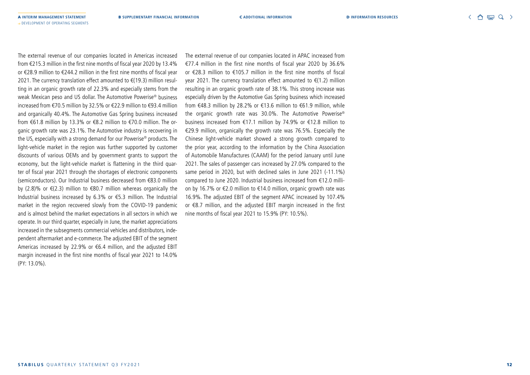The external revenue of our companies located in Americas increased from €215.3 million in the first nine months of fiscal year 2020 by 13.4% or €28.9 million to €244.2 million in the first nine months of fiscal year 2021. The currency translation effect amounted to €(19.3) million resulting in an organic growth rate of 22.3% and especially stems from the weak Mexican peso and US dollar. The Automotive Powerise® business increased from €70.5 million by 32.5% or €22.9 million to €93.4 million and organically 40.4%. The Automotive Gas Spring business increased from €61.8 million by 13.3% or €8.2 million to €70.0 million. The organic growth rate was 23.1%. The Automotive industry is recovering in the US, especially with a strong demand for our Powerise® products. The light-vehicle market in the region was further supported by customer discounts of various OEMs and by government grants to support the economy, but the light-vehicle market is flattening in the third quarter of fiscal year 2021 through the shortages of electronic components (semiconductors). Our Industrial business decreased from €83.0 million by (2.8)% or  $\epsilon$ (2.3) million to  $\epsilon$ 80.7 million whereas organically the Industrial business increased by 6.3% or €5.3 million. The Industrial market in the region recovered slowly from the COVID-19 pandemic and is almost behind the market expectations in all sectors in which we operate. In our third quarter, especially in June, the market appreciations increased in the subsegments commercial vehicles and distributors, independent aftermarket and e-commerce. The adjusted EBIT of the segment Americas increased by 22.9% or €6.4 million, and the adjusted EBIT margin increased in the first nine months of fiscal year 2021 to 14.0% (PY: 13.0%).

→ DEVELOPMENT OF OPERATING SEGMENTS

The external revenue of our companies located in APAC increased from €77.4 million in the first nine months of fiscal year 2020 by 36.6% or €28.3 million to €105.7 million in the first nine months of fiscal year 2021. The currency translation effect amounted to €(1.2) million resulting in an organic growth rate of 38.1%. This strong increase was especially driven by the Automotive Gas Spring business which increased from €48.3 million by 28.2% or €13.6 million to €61.9 million, while the organic growth rate was 30.0%. The Automotive Powerise® business increased from €17.1 million by 74.9% or €12.8 million to €29.9 million, organically the growth rate was 76.5%. Especially the Chinese light-vehicle market showed a strong growth compared to the prior year, according to the information by the China Association of Automobile Manufactures (CAAM) for the period January until June 2021. The sales of passenger cars increased by 27.0% compared to the same period in 2020, but with declined sales in June 2021 (-11.1%) compared to June 2020. Industrial business increased from €12.0 million by 16.7% or €2.0 million to €14.0 million, organic growth rate was 16.9%. The adjusted EBIT of the segment APAC increased by 107.4% or €8.7 million, and the adjusted EBIT margin increased in the first nine months of fiscal year 2021 to 15.9% (PY: 10.5%).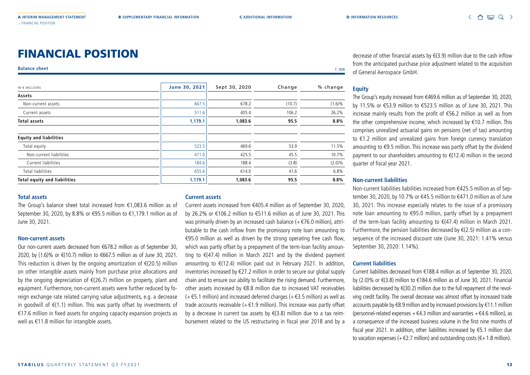## FINANCIAL POSITION

#### **Balance sheet** T\_008

| $IN \in MILLIONS$                   | June 30, 2021 | Sept 30, 2020 | Change | % change  |
|-------------------------------------|---------------|---------------|--------|-----------|
| Assets                              |               |               |        |           |
| Non-current assets                  | 667.5         | 678.2         | (10.7) | $(1.6)\%$ |
| Current assets                      | 511.6         | 405.4         | 106.2  | 26.2%     |
| <b>Total assets</b>                 | 1,179.1       | 1,083.6       | 95.5   | 8.8%      |
| <b>Equity and liabilities</b>       |               |               |        |           |
| Total equity                        | 523.5         | 469.6         | 53.9   | 11.5%     |
| Non-current liabilities             | 471.0         | 425.5         | 45.5   | 10.7%     |
| Current liabilities                 | 184.6         | 188.4         | (3.8)  | $(2.0)\%$ |
| <b>Total liabilities</b>            | 655.6         | 614.0         | 41.6   | 6.8%      |
| <b>Total equity and liabilities</b> | 1,179.1       | 1,083.6       | 95.5   | 8.8%      |
|                                     |               |               |        |           |

#### **Total assets**

The Group's balance sheet total increased from €1,083.6 million as of September 30, 2020, by 8.8% or €95.5 million to €1,179.1 million as of June 30, 2021.

#### **Non-current assets**

Our non-current assets decreased from €678.2 million as of September 30, 2020, by (1.6)% or €(10.7) million to €667.5 million as of June 30, 2021. This reduction is driven by the ongoing amortization of €(20.5) million on other intangible assets mainly from purchase price allocations and by the ongoing depreciation of  $\epsilon$ (26.7) million on property, plant and equipment. Furthermore, non-current assets were further reduced by foreign exchange rate related carrying value adjustments, e.g. a decrease in goodwill of €(1.1) million. This was partly offset by investments of €17.6 million in fixed assets for ongoing capacity expansion projects as well as €11.8 million for intangible assets.

#### **Current assets**

Current assets increased from €405.4 million as of September 30, 2020, by 26.2% or €106.2 million to €511.6 million as of June 30, 2021. This was primarily driven by an increased cash balance (+€76.0 million), attributable to the cash inflow from the promissory note loan amounting to €95.0 million as well as driven by the strong operating free cash flow, which was partly offset by a prepayment of the term-loan facility amounting to €(47.4) million in March 2021 and by the dividend payment amounting to €(12.4) million paid out in February 2021. In addition, inventories increased by €27.2 million in order to secure our global supply chain and to ensure our ability to facilitate the rising demand. Furthermore, other assets increased by €8.8 million due to increased VAT receivables (+€5.1 million) and increased deferred charges (+€3.5 million) as well as trade accounts receivable ( $+ \epsilon$ 1.9 million). This increase was partly offset by a decrease in current tax assets by €(3.8) million due to a tax reimbursement related to the US restructuring in fiscal year 2018 and by a

decrease of other financial assets by €(3.9) million due to the cash inflow from the anticipated purchase price adjustment related to the acquisition of General Aerospace GmbH.

#### **Equity**

The Group's equity increased from €469.6 million as of September 30, 2020, by 11.5% or €53.9 million to €523.5 million as of June 30, 2021. This increase mainly results from the profit of €56.2 million as well as from the other comprehensive income, which increased by €10.7 million. This comprises unrealized actuarial gains on pensions (net of tax) amounting to €1.2 million and unrealized gains from foreign currency translation amounting to €9.5 million. This increase was partly offset by the dividend payment to our shareholders amounting to €(12.4) million in the second quarter of fiscal year 2021.

#### **Non-current liabilities**

Non-current liabilities liabilities increased from €425.5 million as of September 30, 2020, by 10.7% or €45.5 million to €471.0 million as of June 30, 2021. This increase especially relates to the issue of a promissory note loan amounting to €95.0 million, partly offset by a prepayment of the term-loan facility amounting to €(47.4) million in March 2021. Furthermore, the pension liabilities decreased by  $E(2.5)$  million as a consequence of the increased discount rate (June 30, 2021: 1.41% versus September 30, 2020: 1.14%).

#### **Current liabilities**

Current liabilities decreased from €188.4 million as of September 30, 2020, by (2.0)% or €(3.8) million to €184.6 million as of June 30, 2021. Financial liabilities decreased by €(30.2) million due to the full repayment of the revolving credit facility. The overall decrease was almost offset by increased trade accounts payable by €8.9 million and by increased provisions by €11.1 million (personnel-related expenses  $+ \epsilon 4.3$  million and warranties  $+ \epsilon 4.6$  million), as a consequence of the increased business volume in the first nine months of fiscal year 2021. In addition, other liabilities increased by €5.1 million due to vacation expenses (+ $\epsilon$ 2.7 million) and outstanding costs ( $\epsilon$ +1.8 million).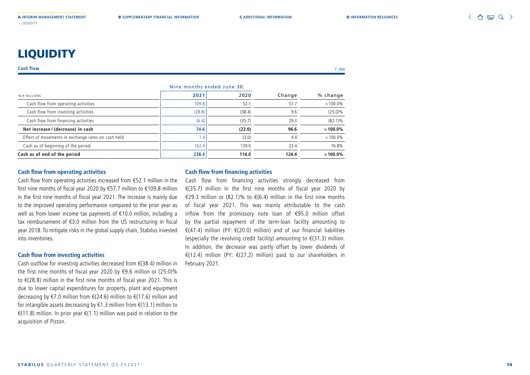## **LIQUIDITY**

#### **Cash flow** T\_009

|                                                    | Nine months ended June 30, |        |        |            |
|----------------------------------------------------|----------------------------|--------|--------|------------|
| IN $\in$ MILLIONS                                  | 2021                       | 2020   | Change | % change   |
| Cash flow from operating activities                | 109.8                      | 52.1   | 57.7   | $>100.0\%$ |
| Cash flow from investing activities                | (28.8)                     | (38.4) | 9.6    | $(25.0)\%$ |
| Cash flow from financing activities                | (6.4)                      | (35.7) | 29.3   | $(82.1)\%$ |
| Net increase / (decrease) in cash                  | 74.6                       | (22.0) | 96.6   | $>100.0\%$ |
| Effect of movements in exchange rates on cash held | 1.4                        | (3.0)  | 4.4    | $>100.0\%$ |
| Cash as of beginning of the period                 | 162.4                      | 139.0  | 23.4   | 16.8%      |
| Cash as of end of the period                       | 238.4                      | 114.0  | 124.4  | $>100.0\%$ |

#### **Cash flow from operating activities**

Cash flow from operating activities increased from €52.1 million in the first nine months of fiscal year 2020 by €57.7 million to €109.8 million in the first nine months of fiscal year 2021. The increase is mainly due to the improved operating performance compared to the prior year as well as from lower income tax payments of €10.0 million, including a tax reimbursement of €3.0 million from the US restructuring in fiscal year 2018. To mitigate risks in the global supply chain, Stabilus invested into inventories.

#### **Cash flow from investing activities**

Cash outflow for investing activities decreased from €(38.4) million in the first nine months of fiscal year 2020 by €9.6 million or (25.0)% to €(28.8) million in the first nine months of fiscal year 2021. This is due to lower capital expenditures for property, plant and equipment decreasing by €7.0 million from €(24.6) million to €(17.6) million and for intangible assets decreasing by €1.3 million from €(13.1) million to €(11.8) million. In prior year €(1.1) million was paid in relation to the acquisition of Piston.

#### **Cash flow from financing activities**

Cash flow from financing activities strongly decreased from €(35.7) million in the first nine months of fiscal year 2020 by €29.3 million or (82.1)% to €(6.4) million in the first nine months of fiscal year 2021. This was mainly attributable to the cash inflow from the promissory note loan of €95.0 million offset by the partial repayment of the term-loan facility amounting to €(47.4) million (PY: €(20.0) million) and of our financial liabilities (especially the revolving credit facility) amounting to  $\epsilon$ (31.3) million. In addition, the decrease was partly offset by lower dividends of €(12.4) million (PY: €(27.2) million) paid to our shareholders in February 2021.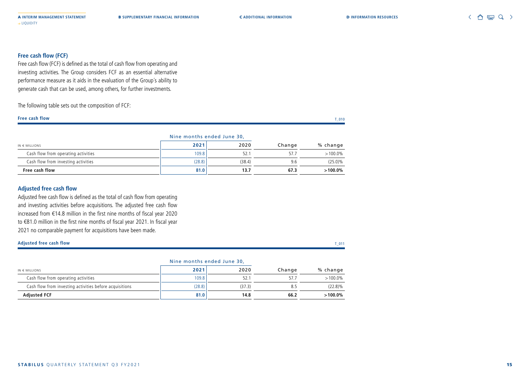#### **Free cash flow (FCF)**

Free cash flow (FCF) is defined as the total of cash flow from operating and investing activities. The Group considers FCF as an essential alternative performance measure as it aids in the evaluation of the Group´s ability to generate cash that can be used, among others, for further investments.

The following table sets out the composition of FCF:

#### **Free cash flow** T\_010

|                                     | Nine months ended June 30, |        |        |            |
|-------------------------------------|----------------------------|--------|--------|------------|
| $IN \in MILLIONS$                   | 2021                       | 2020   | Change | % change   |
| Cash flow from operating activities | 109.8                      | 52.    |        | $>100.0\%$ |
| Cash flow from investing activities | (28.8)                     | (38.4) | 9.6    | $(25.0)\%$ |
| Free cash flow                      | 81.0                       | 13.7   | 67.3   | $>100.0\%$ |

#### **Adjusted free cash flow**

Adjusted free cash flow is defined as the total of cash flow from operating and investing activities before acquisitions. The adjusted free cash flow increased from €14.8 million in the first nine months of fiscal year 2020 to €81.0 million in the first nine months of fiscal year 2021. In fiscal year 2021 no comparable payment for acquisitions have been made.

#### **Adjusted free cash flow** T\_011

|                                                         | Nine months ended June 30, |        |        |            |  |
|---------------------------------------------------------|----------------------------|--------|--------|------------|--|
| $IN \in MILLIONS$                                       | 2021                       | 2020   | Change | % change   |  |
| Cash flow from operating activities                     | 109.8                      | 52.    |        | $>100.0\%$ |  |
| Cash flow from investing activities before acquisitions | (28.8)                     | (37.3) | 8.5    | $(22.8)\%$ |  |
| <b>Adiusted FCF</b>                                     | 81.0                       | 14.8   | 66.2   | $>100.0\%$ |  |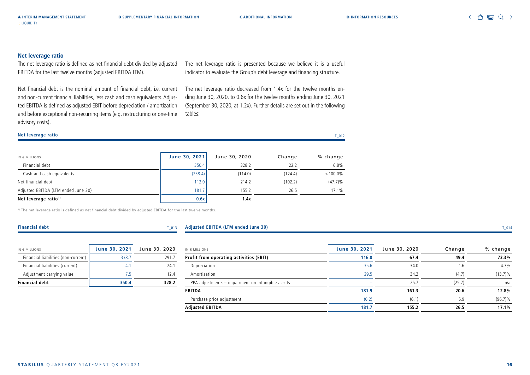#### **Net leverage ratio**

The net leverage ratio is defined as net financial debt divided by adjusted EBITDA for the last twelve months (adjusted EBITDA LTM).

Net financial debt is the nominal amount of financial debt, i.e. current and non-current financial liabilities, less cash and cash equivalents. Adjusted EBITDA is defined as adjusted EBIT before depreciation / amortization and before exceptional non-recurring items (e.g. restructuring or one-time advisory costs).

The net leverage ratio is presented because we believe it is a useful indicator to evaluate the Group's debt leverage and financing structure.

The net leverage ratio decreased from 1.4x for the twelve months ending June 30, 2020, to 0.6x for the twelve months ending June 30, 2021 (September 30, 2020, at 1.2x). Further details are set out in the following tables:

#### **Net leverage ratio** T\_012

| $IN \in MILLIONS$                   | June 30, 2021 | June 30, 2020 | Change  | % change   |
|-------------------------------------|---------------|---------------|---------|------------|
| Financial debt                      | 350.4         | 328.2         | 22.2    | 6.8%       |
| Cash and cash equivalents           | (238.4)       | (114.0)       | (124.4) | $>100.0\%$ |
| Net financial debt                  | 112.0         | 214.2         | (102.2) | $(47.7)\%$ |
| Adjusted EBITDA (LTM ended June 30) | 181.7         | 155.2         | 26.5    | 17.1%      |
| Net leverage ratio <sup>1)</sup>    | 0.6x          | 1.4x          |         |            |

<sup>1)</sup> The net leverage ratio is defined as net financial debt divided by adjusted EBITDA for the last twelve months.

#### **Financial debt** T\_0133 T\_0133 T\_0133 T\_0133 T\_0133 T\_0133 T\_0133 T\_0133 T\_0133 T\_0133 T\_0133 T\_0133 T\_0133 T\_0133 T\_0133 T\_0133 T\_0133 T\_0133 T\_0133 T\_0133 T\_0133 T\_0133 T\_0133 T\_0133 T\_0133 T\_0133 T\_0133 T\_0133 T\_0133 T\_

| 013 | Adjusted EBITDA (LTM ended June 30) |  |
|-----|-------------------------------------|--|
|     |                                     |  |

| IN $\in$ MILLIONS                   | June 30, 2021 | June 30, 2020 |
|-------------------------------------|---------------|---------------|
| Financial liabilities (non-current) | 338.7         | 2917          |
| Financial liabilities (current)     |               | 24 1          |
| Adjustment carrying value           | 75            | 124           |
| <b>Financial debt</b>               | 350.4         | 328.2         |

| $IN \in MILLONS$                                  | June 30, 2021            | June 30, 2020 | Change | % change   |
|---------------------------------------------------|--------------------------|---------------|--------|------------|
| Profit from operating activities (EBIT)           | 116.8                    | 67.4          | 49.4   | 73.3%      |
| Depreciation                                      | 35.6                     | 34.0          | 6.،    | 4.7%       |
| Amortization                                      | 29.5                     | 34.2          | (4.7)  | $(13.7)\%$ |
| PPA adjustments - impairment on intangible assets | $\overline{\phantom{0}}$ | 25.7          | (25.7) | n/a        |
| EBITDA                                            | 181.9                    | 161.3         | 20.6   | 12.8%      |
| Purchase price adjustment                         | (0.2)                    | (6.1)         | 5.9    | $(96.7)\%$ |
| Adjusted EBITDA                                   | 181.7                    | 155.2         | 26.5   | 17.1%      |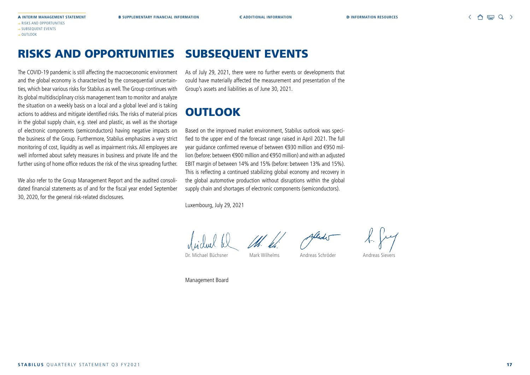#### RISKS AND OPPORTUNITIES SUBSEQUENT EVENTS

The COVID-19 pandemic is still affecting the macroeconomic environment and the global economy is characterized by the consequential uncertainties, which bear various risks for Stabilus as well. The Group continues with its global multidisciplinary crisis management team to monitor and analyze the situation on a weekly basis on a local and a global level and is taking actions to address and mitigate identified risks. The risks of material prices in the global supply chain, e.g. steel and plastic, as well as the shortage of electronic components (semiconductors) having negative impacts on the business of the Group. Furthermore, Stabilus emphasizes a very strict monitoring of cost, liquidity as well as impairment risks. All employees are well informed about safety measures in business and private life and the further using of home office reduces the risk of the virus spreading further.

We also refer to the Group Management Report and the audited consolidated financial statements as of and for the fiscal year ended September 30, 2020, for the general risk-related disclosures.

As of July 29, 2021, there were no further events or developments that could have materially affected the measurement and presentation of the Group's assets and liabilities as of June 30, 2021.

## **OUTLOOK**

Based on the improved market environment, Stabilus outlook was specified to the upper end of the forecast range raised in April 2021. The full year guidance confirmed revenue of between €930 million and €950 million (before: between €900 million and €950 million) and with an adjusted EBIT margin of between 14% and 15% (before: between 13% and 15%). This is reflecting a continued stabilizing global economy and recovery in the global automotive production without disruptions within the global supply chain and shortages of electronic components (semiconductors).

Luxembourg, July 29, 2021



Dr. Michael Büchsner Mark Wilhelms Andreas Schröder Andreas Sievers

Management Board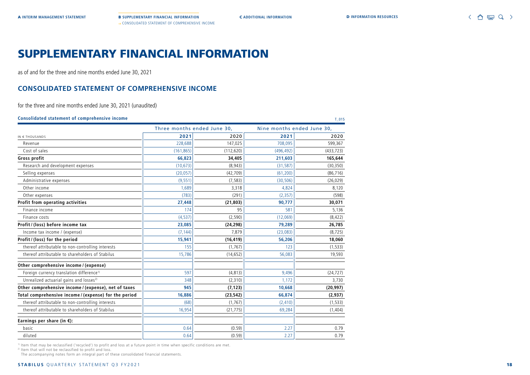A **INTERIM MANAGEMENT STATEMENT** B **SUPPLEMENTARY FINANCIAL INFORMATION** C **ADDITIONAL INFORMATION** D **INFORMATION RESOURCES** → CONSOLIDATED STATEMENT OF COMPREHENSIVE INCOME

## SUPPLEMENTARY FINANCIAL INFORMATION

as of and for the three and nine months ended June 30, 2021

### **CONSOLIDATED STATEMENT OF COMPREHENSIVE INCOME**

for the three and nine months ended June 30, 2021 (unaudited)

| Consolidated statement of comprehensive income |  | 01' |
|------------------------------------------------|--|-----|
|                                                |  |     |

|                                                       |            | Three months ended June 30, |            | Nine months ended June 30, |
|-------------------------------------------------------|------------|-----------------------------|------------|----------------------------|
| IN € THOUSANDS                                        | 2021       | 2020                        | 2021       | 2020                       |
| Revenue                                               | 228,688    | 147,025                     | 708,095    | 599,367                    |
| Cost of sales                                         | (161, 865) | (112, 620)                  | (496, 492) | (433, 723)                 |
| Gross profit                                          | 66,823     | 34,405                      | 211,603    | 165,644                    |
| Research and development expenses                     | (10, 673)  | (8,943)                     | (31, 587)  | (30, 350)                  |
| Selling expenses                                      | (20, 057)  | (42, 709)                   | (61, 200)  | (86, 716)                  |
| Administrative expenses                               | (9, 551)   | (7, 583)                    | (30, 506)  | (26, 029)                  |
| Other income                                          | 1,689      | 3,318                       | 4,824      | 8,120                      |
| Other expenses                                        | (783)      | (291)                       | (2, 357)   | (598)                      |
| Profit from operating activities                      | 27,448     | (21, 803)                   | 90,777     | 30,071                     |
| Finance income                                        | 174        | 95                          | 581        | 5,136                      |
| Finance costs                                         | (4, 537)   | (2,590)                     | (12,069)   | (8, 422)                   |
| Profit / (loss) before income tax                     | 23,085     | (24, 298)                   | 79,289     | 26,785                     |
| Income tax income / (expense)                         | (7, 144)   | 7,879                       | (23,083)   | (8, 725)                   |
| Profit / (loss) for the period                        | 15,941     | (16, 419)                   | 56,206     | 18,060                     |
| thereof attributable to non-controlling interests     | 155        | (1, 767)                    | 123        | (1, 533)                   |
| thereof attributable to shareholders of Stabilus      | 15,786     | (14, 652)                   | 56,083     | 19,593                     |
| Other comprehensive income / (expense)                |            |                             |            |                            |
| Foreign currency translation difference <sup>1)</sup> | 597        | (4, 813)                    | 9,496      | (24, 727)                  |
| Unrealized actuarial gains and losses <sup>2)</sup>   | 348        | (2,310)                     | 1,172      | 3,730                      |
| Other comprehensive income / (expense), net of taxes  | 945        | (7, 123)                    | 10,668     | (20, 997)                  |
| Total comprehensive income / (expense) for the period | 16,886     | (23, 542)                   | 66,874     | (2,937)                    |
| thereof attributable to non-controlling interests     | (68)       | (1, 767)                    | (2, 410)   | (1, 533)                   |
| thereof attributable to shareholders of Stabilus      | 16,954     | (21, 775)                   | 69,284     | (1, 404)                   |
| Earnings per share (in $\xi$ ):                       |            |                             |            |                            |
| basic                                                 | 0.64       | (0.59)                      | 2.27       | 0.79                       |
| diluted                                               | 0.64       | (0.59)                      | 2.27       | 0.79                       |

1) Item that may be reclassified ('recycled') to profit and loss at a future point in time when specific conditions are met.

2) Item that will not be reclassified to profit and loss.

The accompanying notes form an integral part of these consolidated financial statements.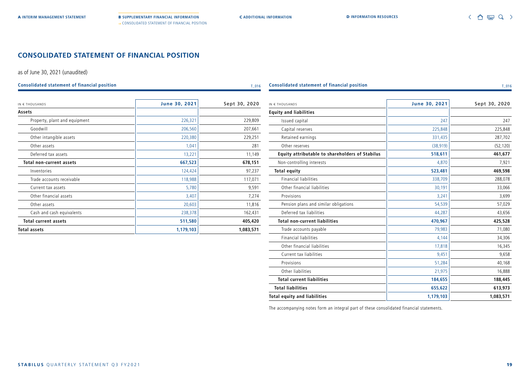#### **CONSOLIDATED STATEMENT OF FINANCIAL POSITION**

as of June 30, 2021 (unaudited)

**Consolidated statement of financial position** T\_016 T\_016

| IN € THOUSANDS                  | June 30, 2021 | Sept 30, 2020 |
|---------------------------------|---------------|---------------|
| Assets                          |               |               |
| Property, plant and equipment   | 226,321       | 229,809       |
| Goodwill                        | 206,560       | 207,661       |
| Other intangible assets         | 220,380       | 229,251       |
| Other assets                    | 1,041         | 281           |
| Deferred tax assets             | 13,221        | 11,149        |
| <b>Total non-current assets</b> | 667,523       | 678,151       |
| Inventories                     | 124,424       | 97,237        |
| Trade accounts receivable       | 118,988       | 117,071       |
| Current tax assets              | 5,780         | 9,591         |
| Other financial assets          | 3,407         | 7,274         |
| Other assets                    | 20,603        | 11,816        |
| Cash and cash equivalents       | 238,378       | 162,431       |
| <b>Total current assets</b>     | 511,580       | 405,420       |
| <b>Total assets</b>             | 1,179,103     | 1,083,571     |

| IN € THOUSANDS                                         | June 30, 2021 | Sept 30, 2020 |
|--------------------------------------------------------|---------------|---------------|
| <b>Equity and liabilities</b>                          |               |               |
| Issued capital                                         | 247           | 247           |
| Capital reserves                                       | 225,848       | 225,848       |
| Retained earnings                                      | 331,435       | 287,702       |
| Other reserves                                         | (38, 919)     | (52, 120)     |
| <b>Equity attributable to shareholders of Stabilus</b> | 518,611       | 461,677       |
| Non-controlling interests                              | 4,870         | 7,921         |
| <b>Total equity</b>                                    | 523,481       | 469,598       |
| <b>Financial liabilities</b>                           | 338,709       | 288,078       |
| Other financial liabilities                            | 30,191        | 33,066        |
| Provisions                                             | 3,241         | 3,699         |
| Pension plans and similar obligations                  | 54,539        | 57,029        |
| Deferred tax liabilities                               | 44,287        | 43,656        |
| <b>Total non-current liabilities</b>                   | 470,967       | 425,528       |
| Trade accounts payable                                 | 79,983        | 71,080        |
| <b>Financial liabilities</b>                           | 4,144         | 34,306        |
| Other financial liabilities                            | 17,818        | 16,345        |
| Current tax liabilities                                | 9,451         | 9,658         |
| Provisions                                             | 51,284        | 40,168        |
| Other liabilities                                      | 21,975        | 16,888        |
| <b>Total current liabilities</b>                       | 184,655       | 188,445       |
| <b>Total liabilities</b>                               | 655,622       | 613,973       |
| <b>Total equity and liabilities</b>                    | 1,179,103     | 1,083,571     |
|                                                        |               |               |

**Consolidated statement of financial position** T\_016 T\_016

The accompanying notes form an integral part of these consolidated financial statements.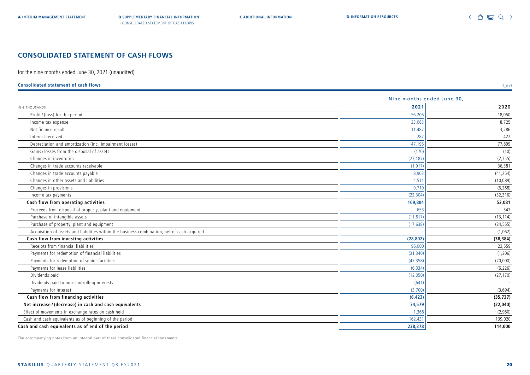### **CONSOLIDATED STATEMENT OF CASH FLOWS**

for the nine months ended June 30, 2021 (unaudited)

#### **Consolidated statement of cash flows** T\_017

|                                                                                             | Nine months ended June 30, |           |  |  |
|---------------------------------------------------------------------------------------------|----------------------------|-----------|--|--|
| IN € THOUSANDS                                                                              | 2021                       | 2020      |  |  |
| Profit / (loss) for the period                                                              | 56,206                     | 18,060    |  |  |
| Income tax expense                                                                          | 23,083                     | 8,725     |  |  |
| Net finance result                                                                          | 11,487                     | 3,286     |  |  |
| Interest received                                                                           | 287                        | 422       |  |  |
| Depreciation and amortization (incl. impairment losses)                                     | 47,195                     | 77,899    |  |  |
| Gains / losses from the disposal of assets                                                  | (170)                      | (10)      |  |  |
| Changes in inventories                                                                      | (27, 187)                  | (2, 755)  |  |  |
| Changes in trade accounts receivable                                                        | (1, 917)                   | 36,381    |  |  |
| Changes in trade accounts payable                                                           | 8,903                      | (41, 254) |  |  |
| Changes in other assets and liabilities                                                     | 4,511                      | (10,089)  |  |  |
| Changes in provisions                                                                       | 9,710                      | (6, 268)  |  |  |
| Income tax payments                                                                         | (22, 304)                  | (32, 316) |  |  |
| Cash flow from operating activities                                                         | 109,804                    | 52,081    |  |  |
| Proceeds from disposal of property, plant and equipment                                     | 653                        | 347       |  |  |
| Purchase of intangible assets                                                               | (11, 817)                  | (13, 114) |  |  |
| Purchase of property, plant and equipment                                                   | (17, 638)                  | (24, 555) |  |  |
| Acquisition of assets and liabilities within the business combination, net of cash acquired |                            | (1,062)   |  |  |
| Cash flow from investing activities                                                         | (28, 802)                  | (38, 384) |  |  |
| Receipts from financial liabilities                                                         | 95,000                     | 22,559    |  |  |
| Payments for redemption of financial liabilities                                            | (31, 340)                  | (1, 206)  |  |  |
| Payments for redemption of senior facilities                                                | (47, 358)                  | (20,000)  |  |  |
| Payments for lease liabilities                                                              | (6,034)                    | (6, 226)  |  |  |
| Dividends paid                                                                              | (12, 350)                  | (27, 170) |  |  |
| Dividends paid to non-controlling interests                                                 | (641)                      |           |  |  |
| Payments for interest                                                                       | (3,700)                    | (3,694)   |  |  |
| Cash flow from financing activities                                                         | (6, 423)                   | (35, 737) |  |  |
| Net increase / (decrease) in cash and cash equivalents                                      | 74,579                     | (22,040)  |  |  |
| Effect of movements in exchange rates on cash held                                          | 1,368                      | (2,980)   |  |  |
| Cash and cash equivalents as of beginning of the period                                     | 162,431                    | 139,020   |  |  |
| Cash and cash equivalents as of end of the period                                           | 238,378                    | 114,000   |  |  |

The accompanying notes form an integral part of these consolidated financial statements.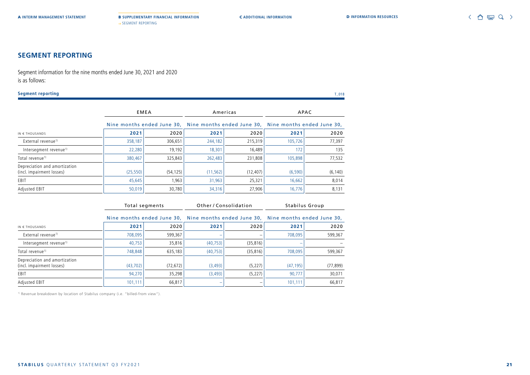### **SEGMENT REPORTING**

Segment information for the nine months ended June 30, 2021 and 2020 is as follows:

| <b>Segment reporting</b>                                   |           |                                              |                                                       |                                                                              |                | $T_018$   |
|------------------------------------------------------------|-----------|----------------------------------------------|-------------------------------------------------------|------------------------------------------------------------------------------|----------------|-----------|
|                                                            |           | <b>EMEA</b>                                  |                                                       | Americas                                                                     | APAC           |           |
|                                                            |           | Nine months ended June 30,                   | Nine months ended June 30, Nine months ended June 30, |                                                                              |                |           |
| IN $\epsilon$ THOUSANDS                                    | 2021      | 2020                                         | 2021                                                  | 2020                                                                         | 2021           | 2020      |
| External revenue <sup>1)</sup>                             | 358,187   | 306.651                                      | 244,182                                               | 215,319                                                                      | 105,726        | 77.397    |
| Intersegment revenue <sup>1)</sup>                         | 22,280    | 19,192                                       | 18,301                                                | 16,489                                                                       | 172            | 135       |
| Total revenue <sup>1)</sup>                                | 380,467   | 325,843                                      | 262,483                                               | 231,808                                                                      | 105,898        | 77,532    |
| Depreciation and amortization<br>(incl. impairment losses) | (25, 550) | (54, 125)                                    | (11, 562)                                             | (12, 407)                                                                    | (6, 590)       | (6, 140)  |
| EBIT                                                       | 45,645    | 1,963                                        | 31,963                                                | 25,321                                                                       | 16,662         | 8,014     |
| Adjusted EBIT                                              | 50,019    | 30,780                                       | 34,316                                                | 27,906                                                                       | 16,776         | 8,131     |
|                                                            |           | Total segments<br>Nine months ended June 30, |                                                       | Other/Consolidation<br>Nine months ended June 30, Nine months ended June 30, | Stabilus Group |           |
| IN € THOUSANDS                                             | 2021      | 2020                                         | 2021                                                  | 2020                                                                         | 2021           | 2020      |
| External revenue <sup>1)</sup>                             | 708,095   | 599,367                                      |                                                       |                                                                              | 708,095        | 599,367   |
| Intersegment revenue <sup>1)</sup>                         | 40,753    | 35,816                                       | (40, 753)                                             | (35, 816)                                                                    |                |           |
| Total revenue <sup>1)</sup>                                | 748,848   | 635,183                                      | (40, 753)                                             | (35, 816)                                                                    | 708,095        | 599,367   |
| Depreciation and amortization<br>(incl. impairment losses) | (43, 702) | (72, 672)                                    | (3, 493)                                              | (5, 227)                                                                     | (47, 195)      | (77, 899) |
| EBIT                                                       | 94,270    | 35,298                                       | (3, 493)                                              | (5, 227)                                                                     | 90,777         | 30,071    |
| Adjusted EBIT                                              | 101,111   | 66,817                                       |                                                       |                                                                              | 101,111        | 66,817    |

<sup>1)</sup> Revenue breakdown by location of Stabilus company (i.e. "billed-from view").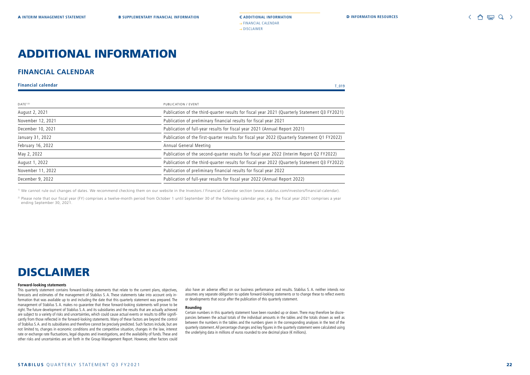## ADDITIONAL INFORMATION

#### **FINANCIAL CALENDAR**

**Financial calendar** T\_019

| $DATE1$ <sup>2)</sup> | PUBLICATION / EVENT                                                                           |  |
|-----------------------|-----------------------------------------------------------------------------------------------|--|
| August 2, 2021        | Publication of the third-quarter results for fiscal year 2021 (Quarterly Statement Q3 FY2021) |  |
| November 12, 2021     | Publication of preliminary financial results for fiscal year 2021                             |  |
| December 10, 2021     | Publication of full-year results for fiscal year 2021 (Annual Report 2021)                    |  |
| January 31, 2022      | Publication of the first-quarter results for fiscal year 2022 (Quarterly Statement Q1 FY2022) |  |
| February 16, 2022     | Annual General Meeting                                                                        |  |
| May 2, 2022           | Publication of the second-quarter results for fiscal year 2022 (Interim Report Q2 FY2022)     |  |
| August 1, 2022        | Publication of the third-quarter results for fiscal year 2022 (Quarterly Statement Q3 FY2022) |  |
| November 11, 2022     | Publication of preliminary financial results for fiscal year 2022                             |  |
| December 9, 2022      | Publication of full-year results for fiscal year 2022 (Annual Report 2022)                    |  |

<sup>1)</sup> We cannot rule out changes of dates. We recommend checking them on our website in the Investors / Financial Calendar section (www.stabilus.com/investors/financial-calendar).

<sup>2)</sup> Please note that our fiscal year (FY) comprises a twelve-month period from October 1 until September 30 of the following calendar year, e.g. the fiscal year 2021 comprises a year ending September 30, 2021.

## DISCLAIMER

#### **Forward-looking statements**

This quarterly statement contains forward-looking statements that relate to the current plans, objectives, forecasts and estimates of the management of Stabilus S. A. These statements take into account only information that was available up to and including the date that this quarterly statement was prepared. The management of Stabilus S. A. makes no guarantee that these forward-looking statements will prove to be right. The future development of Stabilus S. A. and its subsidiaries and the results that are actually achieved are subject to a variety of risks and uncertainties, which could cause actual events or results to differ significantly from those reflected in the forward-looking statements. Many of these factors are beyond the control of Stabilus S. A. and its subsidiaries and therefore cannot be precisely predicted. Such factors include, but are not limited to, changes in economic conditions and the competitive situation, changes in the law, interest rate or exchange rate fluctuations, legal disputes and investigations, and the availability of funds. These and other risks and uncertainties are set forth in the Group Management Report. However, other factors could

also have an adverse effect on our business performance and results. Stabilus S. A. neither intends nor assumes any separate obligation to update forward-looking statements or to change these to reflect events or developments that occur after the publication of this quarterly statement.

#### **Rounding**

Certain numbers in this quarterly statement have been rounded up or down. There may therefore be discrepancies between the actual totals of the individual amounts in the tables and the totals shown as well as between the numbers in the tables and the numbers given in the corresponding analyses in the text of the quarterly statement. All percentage changes and key figures in the quarterly statement were calculated using the underlying data in millions of euros rounded to one decimal place ( $\notin$  millions).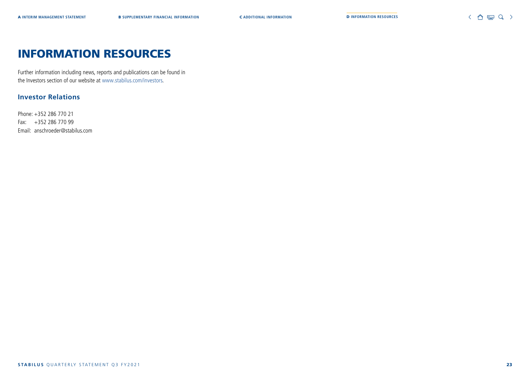## INFORMATION RESOURCES

Further information including news, reports and publications can be found in the Investors section of our website at www.stabilus.com/investors.

#### **Investor Relations**

Phone: +352 286 770 21 Fax: +352 286 770 99 Email: anschroeder@stabilus.com